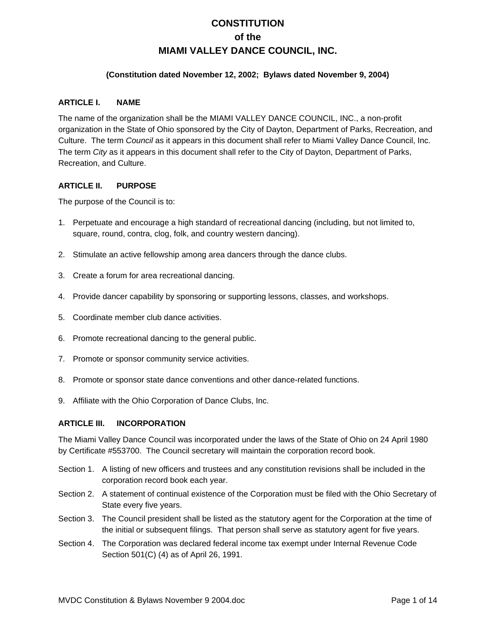# **CONSTITUTION of the MIAMI VALLEY DANCE COUNCIL, INC.**

### **(Constitution dated November 12, 2002; Bylaws dated November 9, 2004)**

### **ARTICLE I. NAME**

The name of the organization shall be the MIAMI VALLEY DANCE COUNCIL, INC., a non-profit organization in the State of Ohio sponsored by the City of Dayton, Department of Parks, Recreation, and Culture. The term *Council* as it appears in this document shall refer to Miami Valley Dance Council, Inc. The term *City* as it appears in this document shall refer to the City of Dayton, Department of Parks, Recreation, and Culture.

### **ARTICLE II. PURPOSE**

The purpose of the Council is to:

- 1. Perpetuate and encourage a high standard of recreational dancing (including, but not limited to, square, round, contra, clog, folk, and country western dancing).
- 2. Stimulate an active fellowship among area dancers through the dance clubs.
- 3. Create a forum for area recreational dancing.
- 4. Provide dancer capability by sponsoring or supporting lessons, classes, and workshops.
- 5. Coordinate member club dance activities.
- 6. Promote recreational dancing to the general public.
- 7. Promote or sponsor community service activities.
- 8. Promote or sponsor state dance conventions and other dance-related functions.
- 9. Affiliate with the Ohio Corporation of Dance Clubs, Inc.

## **ARTICLE III. INCORPORATION**

The Miami Valley Dance Council was incorporated under the laws of the State of Ohio on 24 April 1980 by Certificate #553700. The Council secretary will maintain the corporation record book.

- Section 1. A listing of new officers and trustees and any constitution revisions shall be included in the corporation record book each year.
- Section 2. A statement of continual existence of the Corporation must be filed with the Ohio Secretary of State every five years.
- Section 3. The Council president shall be listed as the statutory agent for the Corporation at the time of the initial or subsequent filings. That person shall serve as statutory agent for five years.
- Section 4. The Corporation was declared federal income tax exempt under Internal Revenue Code Section 501(C) (4) as of April 26, 1991.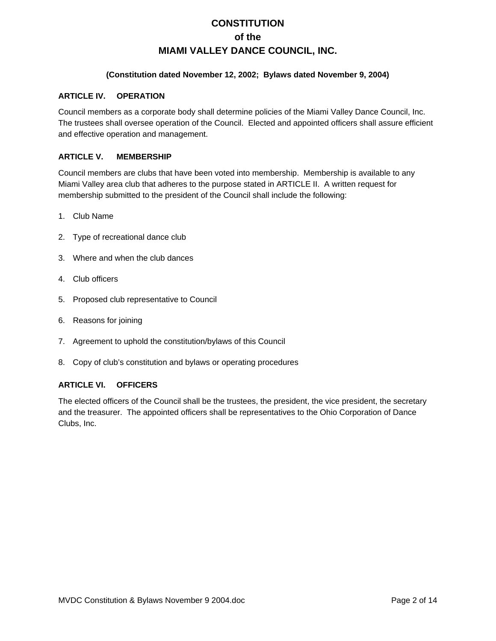# **CONSTITUTION of the MIAMI VALLEY DANCE COUNCIL, INC.**

## **(Constitution dated November 12, 2002; Bylaws dated November 9, 2004)**

### **ARTICLE IV. OPERATION**

Council members as a corporate body shall determine policies of the Miami Valley Dance Council, Inc. The trustees shall oversee operation of the Council. Elected and appointed officers shall assure efficient and effective operation and management.

## **ARTICLE V. MEMBERSHIP**

Council members are clubs that have been voted into membership. Membership is available to any Miami Valley area club that adheres to the purpose stated in ARTICLE II. A written request for membership submitted to the president of the Council shall include the following:

- 1. Club Name
- 2. Type of recreational dance club
- 3. Where and when the club dances
- 4. Club officers
- 5. Proposed club representative to Council
- 6. Reasons for joining
- 7. Agreement to uphold the constitution/bylaws of this Council
- 8. Copy of club's constitution and bylaws or operating procedures

## **ARTICLE VI. OFFICERS**

The elected officers of the Council shall be the trustees, the president, the vice president, the secretary and the treasurer. The appointed officers shall be representatives to the Ohio Corporation of Dance Clubs, Inc.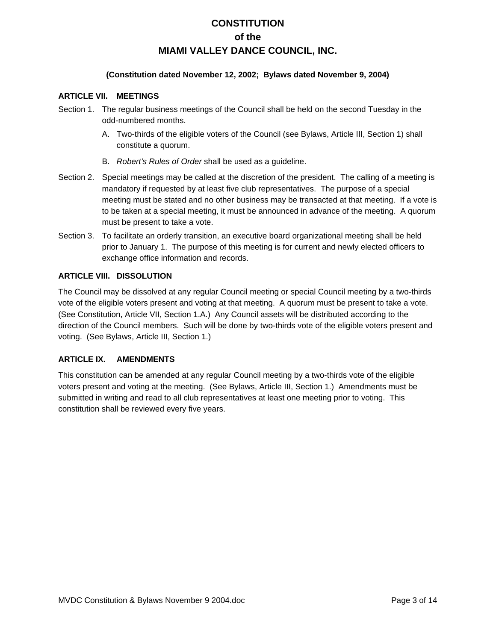# **CONSTITUTION of the MIAMI VALLEY DANCE COUNCIL, INC.**

### **(Constitution dated November 12, 2002; Bylaws dated November 9, 2004)**

### **ARTICLE VII. MEETINGS**

- Section 1. The regular business meetings of the Council shall be held on the second Tuesday in the odd-numbered months.
	- A. Two-thirds of the eligible voters of the Council (see Bylaws, Article III, Section 1) shall constitute a quorum.
	- B. *Robert's Rules of Order* shall be used as a guideline.
- Section 2. Special meetings may be called at the discretion of the president. The calling of a meeting is mandatory if requested by at least five club representatives. The purpose of a special meeting must be stated and no other business may be transacted at that meeting. If a vote is to be taken at a special meeting, it must be announced in advance of the meeting. A quorum must be present to take a vote.
- Section 3. To facilitate an orderly transition, an executive board organizational meeting shall be held prior to January 1. The purpose of this meeting is for current and newly elected officers to exchange office information and records.

## **ARTICLE VIII. DISSOLUTION**

The Council may be dissolved at any regular Council meeting or special Council meeting by a two-thirds vote of the eligible voters present and voting at that meeting. A quorum must be present to take a vote. (See Constitution, Article VII, Section 1.A.) Any Council assets will be distributed according to the direction of the Council members. Such will be done by two-thirds vote of the eligible voters present and voting. (See Bylaws, Article III, Section 1.)

## **ARTICLE IX. AMENDMENTS**

This constitution can be amended at any regular Council meeting by a two-thirds vote of the eligible voters present and voting at the meeting. (See Bylaws, Article III, Section 1.) Amendments must be submitted in writing and read to all club representatives at least one meeting prior to voting. This constitution shall be reviewed every five years.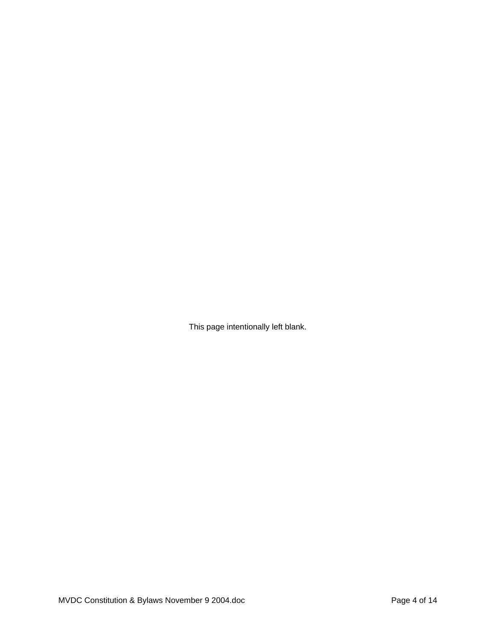This page intentionally left blank.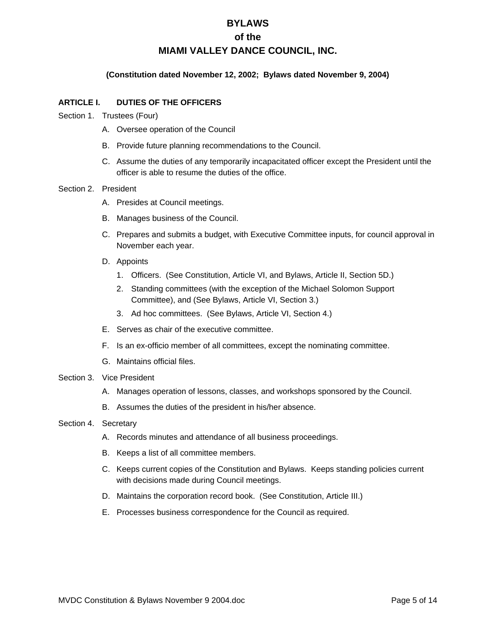#### **(Constitution dated November 12, 2002; Bylaws dated November 9, 2004)**

### **ARTICLE I. DUTIES OF THE OFFICERS**

- Section 1. Trustees (Four)
	- A. Oversee operation of the Council
	- B. Provide future planning recommendations to the Council.
	- C. Assume the duties of any temporarily incapacitated officer except the President until the officer is able to resume the duties of the office.

#### Section 2. President

- A. Presides at Council meetings.
- B. Manages business of the Council.
- C. Prepares and submits a budget, with Executive Committee inputs, for council approval in November each year.
- D. Appoints
	- 1. Officers. (See Constitution, Article VI, and Bylaws, Article II, Section 5D.)
	- 2. Standing committees (with the exception of the Michael Solomon Support Committee), and (See Bylaws, Article VI, Section 3.)
	- 3. Ad hoc committees. (See Bylaws, Article VI, Section 4.)
- E. Serves as chair of the executive committee.
- F. Is an ex-officio member of all committees, except the nominating committee.
- G. Maintains official files.
- Section 3. Vice President
	- A. Manages operation of lessons, classes, and workshops sponsored by the Council.
	- B. Assumes the duties of the president in his/her absence.

#### Section 4. Secretary

- A. Records minutes and attendance of all business proceedings.
- B. Keeps a list of all committee members.
- C. Keeps current copies of the Constitution and Bylaws. Keeps standing policies current with decisions made during Council meetings.
- D. Maintains the corporation record book. (See Constitution, Article III.)
- E. Processes business correspondence for the Council as required.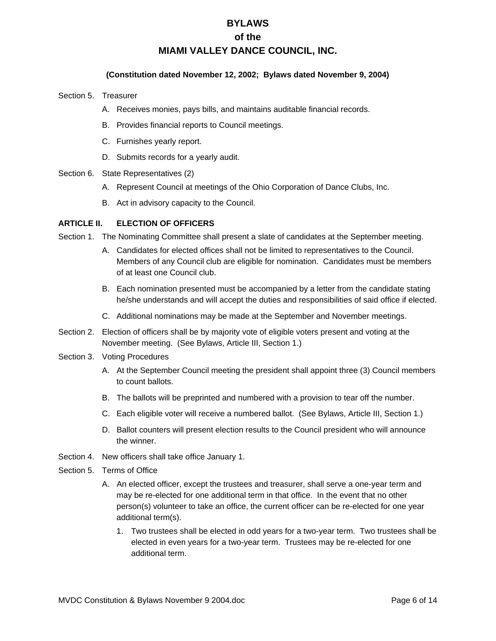#### **(Constitution dated November 12, 2002; Bylaws dated November 9, 2004)**

### Section 5. Treasurer

- A. Receives monies, pays bills, and maintains auditable financial records.
- B. Provides financial reports to Council meetings.
- C. Furnishes yearly report.
- D. Submits records for a yearly audit.
- Section 6. State Representatives (2)
	- A. Represent Council at meetings of the Ohio Corporation of Dance Clubs, Inc.
	- B. Act in advisory capacity to the Council.

### **ARTICLE II. ELECTION OF OFFICERS**

- Section 1. The Nominating Committee shall present a slate of candidates at the September meeting.
	- A. Candidates for elected offices shall not be limited to representatives to the Council. Members of any Council club are eligible for nomination. Candidates must be members of at least one Council club.
	- B. Each nomination presented must be accompanied by a letter from the candidate stating he/she understands and will accept the duties and responsibilities of said office if elected.
	- C. Additional nominations may be made at the September and November meetings.
- Section 2. Election of officers shall be by majority vote of eligible voters present and voting at the November meeting. (See Bylaws, Article III, Section 1.)
- Section 3. Voting Procedures
	- A. At the September Council meeting the president shall appoint three (3) Council members to count ballots.
	- B. The ballots will be preprinted and numbered with a provision to tear off the number.
	- C. Each eligible voter will receive a numbered ballot. (See Bylaws, Article III, Section 1.)
	- D. Ballot counters will present election results to the Council president who will announce the winner.
- Section 4. New officers shall take office January 1.
- Section 5. Terms of Office
	- A. An elected officer, except the trustees and treasurer, shall serve a one-year term and may be re-elected for one additional term in that office. In the event that no other person(s) volunteer to take an office, the current officer can be re-elected for one year additional term(s).
		- 1. Two trustees shall be elected in odd years for a two-year term. Two trustees shall be elected in even years for a two-year term. Trustees may be re-elected for one additional term.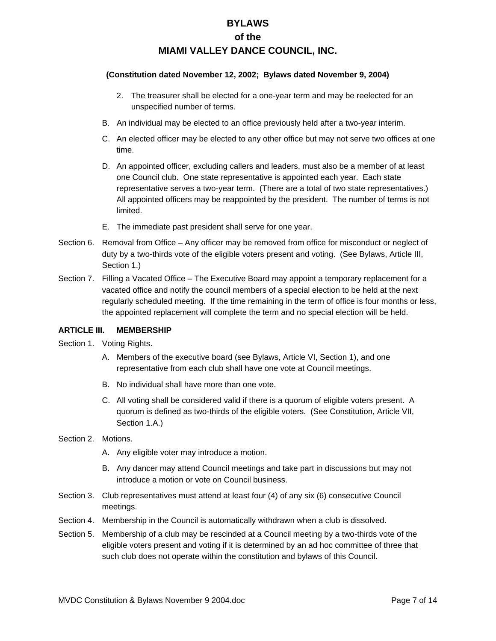### **(Constitution dated November 12, 2002; Bylaws dated November 9, 2004)**

- 2. The treasurer shall be elected for a one-year term and may be reelected for an unspecified number of terms.
- B. An individual may be elected to an office previously held after a two-year interim.
- C. An elected officer may be elected to any other office but may not serve two offices at one time.
- D. An appointed officer, excluding callers and leaders, must also be a member of at least one Council club. One state representative is appointed each year. Each state representative serves a two-year term. (There are a total of two state representatives.) All appointed officers may be reappointed by the president. The number of terms is not limited.
- E. The immediate past president shall serve for one year.
- Section 6. Removal from Office Any officer may be removed from office for misconduct or neglect of duty by a two-thirds vote of the eligible voters present and voting. (See Bylaws, Article III, Section 1.)
- Section 7. Filling a Vacated Office The Executive Board may appoint a temporary replacement for a vacated office and notify the council members of a special election to be held at the next regularly scheduled meeting. If the time remaining in the term of office is four months or less, the appointed replacement will complete the term and no special election will be held.

#### **ARTICLE III. MEMBERSHIP**

- Section 1. Voting Rights.
	- A. Members of the executive board (see Bylaws, Article VI, Section 1), and one representative from each club shall have one vote at Council meetings.
	- B. No individual shall have more than one vote.
	- C. All voting shall be considered valid if there is a quorum of eligible voters present. A quorum is defined as two-thirds of the eligible voters. (See Constitution, Article VII, Section 1.A.)
- Section 2. Motions.
	- A. Any eligible voter may introduce a motion.
	- B. Any dancer may attend Council meetings and take part in discussions but may not introduce a motion or vote on Council business.
- Section 3. Club representatives must attend at least four (4) of any six (6) consecutive Council meetings.
- Section 4. Membership in the Council is automatically withdrawn when a club is dissolved.
- Section 5. Membership of a club may be rescinded at a Council meeting by a two-thirds vote of the eligible voters present and voting if it is determined by an ad hoc committee of three that such club does not operate within the constitution and bylaws of this Council.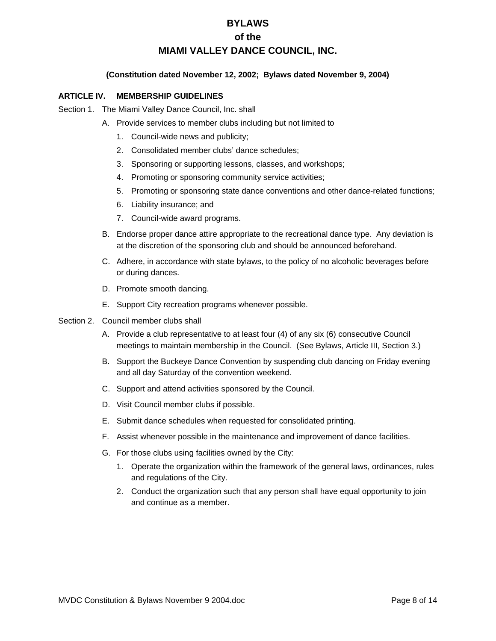#### **(Constitution dated November 12, 2002; Bylaws dated November 9, 2004)**

#### **ARTICLE IV. MEMBERSHIP GUIDELINES**

- Section 1. The Miami Valley Dance Council, Inc. shall
	- A. Provide services to member clubs including but not limited to
		- 1. Council-wide news and publicity;
		- 2. Consolidated member clubs' dance schedules;
		- 3. Sponsoring or supporting lessons, classes, and workshops;
		- 4. Promoting or sponsoring community service activities;
		- 5. Promoting or sponsoring state dance conventions and other dance-related functions;
		- 6. Liability insurance; and
		- 7. Council-wide award programs.
	- B. Endorse proper dance attire appropriate to the recreational dance type. Any deviation is at the discretion of the sponsoring club and should be announced beforehand.
	- C. Adhere, in accordance with state bylaws, to the policy of no alcoholic beverages before or during dances.
	- D. Promote smooth dancing.
	- E. Support City recreation programs whenever possible.
- Section 2. Council member clubs shall
	- A. Provide a club representative to at least four (4) of any six (6) consecutive Council meetings to maintain membership in the Council. (See Bylaws, Article III, Section 3.)
	- B. Support the Buckeye Dance Convention by suspending club dancing on Friday evening and all day Saturday of the convention weekend.
	- C. Support and attend activities sponsored by the Council.
	- D. Visit Council member clubs if possible.
	- E. Submit dance schedules when requested for consolidated printing.
	- F. Assist whenever possible in the maintenance and improvement of dance facilities.
	- G. For those clubs using facilities owned by the City:
		- 1. Operate the organization within the framework of the general laws, ordinances, rules and regulations of the City.
		- 2. Conduct the organization such that any person shall have equal opportunity to join and continue as a member.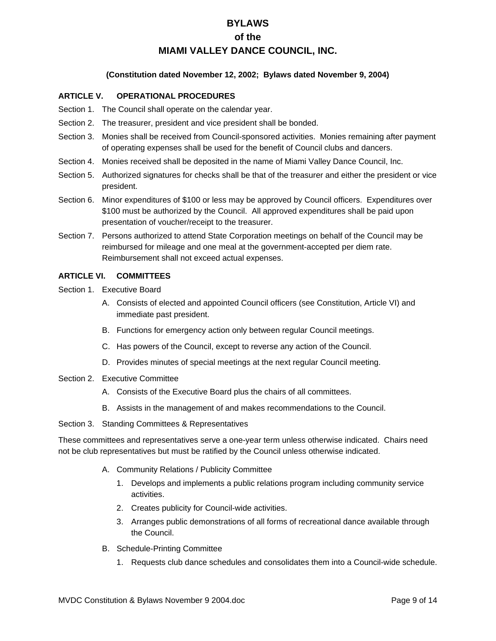### **(Constitution dated November 12, 2002; Bylaws dated November 9, 2004)**

### **ARTICLE V. OPERATIONAL PROCEDURES**

- Section 1. The Council shall operate on the calendar year.
- Section 2. The treasurer, president and vice president shall be bonded.
- Section 3. Monies shall be received from Council-sponsored activities. Monies remaining after payment of operating expenses shall be used for the benefit of Council clubs and dancers.
- Section 4. Monies received shall be deposited in the name of Miami Valley Dance Council, Inc.
- Section 5. Authorized signatures for checks shall be that of the treasurer and either the president or vice president.
- Section 6. Minor expenditures of \$100 or less may be approved by Council officers. Expenditures over \$100 must be authorized by the Council. All approved expenditures shall be paid upon presentation of voucher/receipt to the treasurer.
- Section 7. Persons authorized to attend State Corporation meetings on behalf of the Council may be reimbursed for mileage and one meal at the government-accepted per diem rate. Reimbursement shall not exceed actual expenses.

## **ARTICLE VI. COMMITTEES**

- Section 1. Executive Board
	- A. Consists of elected and appointed Council officers (see Constitution, Article VI) and immediate past president.
	- B. Functions for emergency action only between regular Council meetings.
	- C. Has powers of the Council, except to reverse any action of the Council.
	- D. Provides minutes of special meetings at the next regular Council meeting.
- Section 2. Executive Committee
	- A. Consists of the Executive Board plus the chairs of all committees.
	- B. Assists in the management of and makes recommendations to the Council.
- Section 3. Standing Committees & Representatives

These committees and representatives serve a one-year term unless otherwise indicated. Chairs need not be club representatives but must be ratified by the Council unless otherwise indicated.

- A. Community Relations / Publicity Committee
	- 1. Develops and implements a public relations program including community service activities.
	- 2. Creates publicity for Council-wide activities.
	- 3. Arranges public demonstrations of all forms of recreational dance available through the Council.
- B. Schedule-Printing Committee
	- 1. Requests club dance schedules and consolidates them into a Council-wide schedule.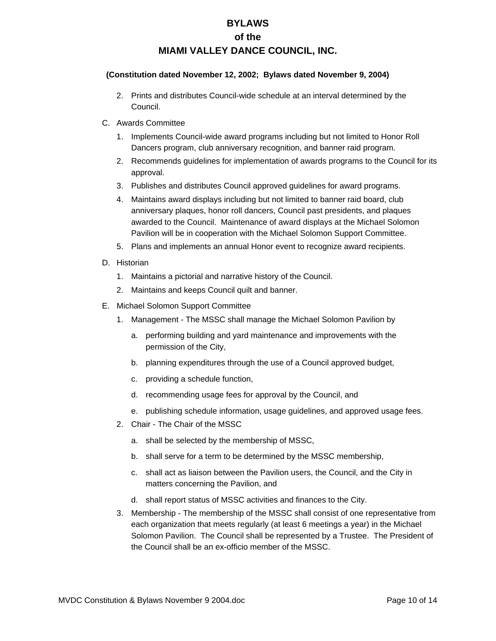#### **(Constitution dated November 12, 2002; Bylaws dated November 9, 2004)**

- 2. Prints and distributes Council-wide schedule at an interval determined by the Council.
- C. Awards Committee
	- 1. Implements Council-wide award programs including but not limited to Honor Roll Dancers program, club anniversary recognition, and banner raid program.
	- 2. Recommends guidelines for implementation of awards programs to the Council for its approval.
	- 3. Publishes and distributes Council approved guidelines for award programs.
	- 4. Maintains award displays including but not limited to banner raid board, club anniversary plaques, honor roll dancers, Council past presidents, and plaques awarded to the Council. Maintenance of award displays at the Michael Solomon Pavilion will be in cooperation with the Michael Solomon Support Committee.
	- 5. Plans and implements an annual Honor event to recognize award recipients.
- D. Historian
	- 1. Maintains a pictorial and narrative history of the Council.
	- 2. Maintains and keeps Council quilt and banner.
- E. Michael Solomon Support Committee
	- 1. Management The MSSC shall manage the Michael Solomon Pavilion by
		- a. performing building and yard maintenance and improvements with the permission of the City,
		- b. planning expenditures through the use of a Council approved budget,
		- c. providing a schedule function,
		- d. recommending usage fees for approval by the Council, and
		- e. publishing schedule information, usage guidelines, and approved usage fees.
	- 2. Chair The Chair of the MSSC
		- a. shall be selected by the membership of MSSC,
		- b. shall serve for a term to be determined by the MSSC membership,
		- c. shall act as liaison between the Pavilion users, the Council, and the City in matters concerning the Pavilion, and
		- d. shall report status of MSSC activities and finances to the City.
	- 3. Membership The membership of the MSSC shall consist of one representative from each organization that meets regularly (at least 6 meetings a year) in the Michael Solomon Pavilion. The Council shall be represented by a Trustee. The President of the Council shall be an ex-officio member of the MSSC.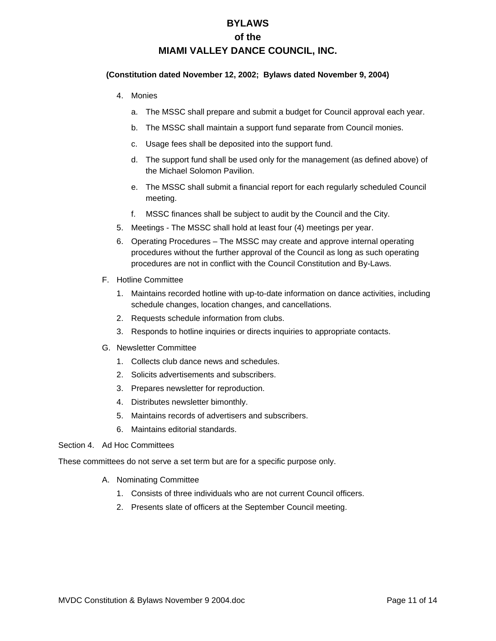#### **(Constitution dated November 12, 2002; Bylaws dated November 9, 2004)**

- 4. Monies
	- a. The MSSC shall prepare and submit a budget for Council approval each year.
	- b. The MSSC shall maintain a support fund separate from Council monies.
	- c. Usage fees shall be deposited into the support fund.
	- d. The support fund shall be used only for the management (as defined above) of the Michael Solomon Pavilion.
	- e. The MSSC shall submit a financial report for each regularly scheduled Council meeting.
	- f. MSSC finances shall be subject to audit by the Council and the City.
- 5. Meetings The MSSC shall hold at least four (4) meetings per year.
- 6. Operating Procedures The MSSC may create and approve internal operating procedures without the further approval of the Council as long as such operating procedures are not in conflict with the Council Constitution and By-Laws.
- F. Hotline Committee
	- 1. Maintains recorded hotline with up-to-date information on dance activities, including schedule changes, location changes, and cancellations.
	- 2. Requests schedule information from clubs.
	- 3. Responds to hotline inquiries or directs inquiries to appropriate contacts.
- G. Newsletter Committee
	- 1. Collects club dance news and schedules.
	- 2. Solicits advertisements and subscribers.
	- 3. Prepares newsletter for reproduction.
	- 4. Distributes newsletter bimonthly.
	- 5. Maintains records of advertisers and subscribers.
	- 6. Maintains editorial standards.

Section 4 Ad Hoc Committees

These committees do not serve a set term but are for a specific purpose only.

- A. Nominating Committee
	- 1. Consists of three individuals who are not current Council officers.
	- 2. Presents slate of officers at the September Council meeting.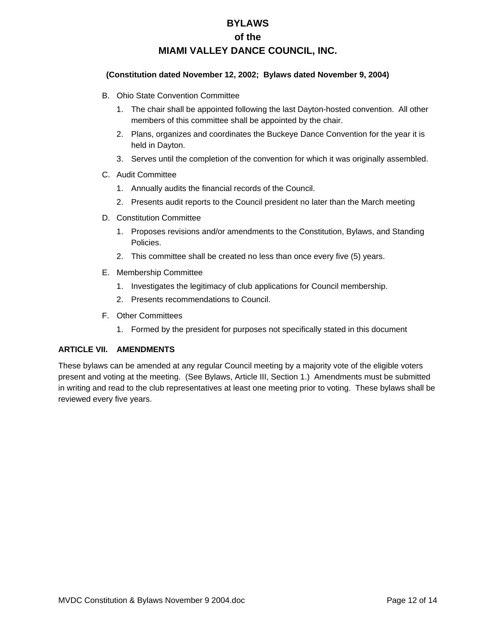### **(Constitution dated November 12, 2002; Bylaws dated November 9, 2004)**

- B. Ohio State Convention Committee
	- 1. The chair shall be appointed following the last Dayton-hosted convention. All other members of this committee shall be appointed by the chair.
	- 2. Plans, organizes and coordinates the Buckeye Dance Convention for the year it is held in Dayton.
	- 3. Serves until the completion of the convention for which it was originally assembled.
- C. Audit Committee
	- 1. Annually audits the financial records of the Council.
	- 2. Presents audit reports to the Council president no later than the March meeting
- D. Constitution Committee
	- 1. Proposes revisions and/or amendments to the Constitution, Bylaws, and Standing Policies.
	- 2. This committee shall be created no less than once every five (5) years.
- E. Membership Committee
	- 1. Investigates the legitimacy of club applications for Council membership.
	- 2. Presents recommendations to Council.
- F. Other Committees
	- 1. Formed by the president for purposes not specifically stated in this document

#### **ARTICLE VII. AMENDMENTS**

These bylaws can be amended at any regular Council meeting by a majority vote of the eligible voters present and voting at the meeting. (See Bylaws, Article III, Section 1.) Amendments must be submitted in writing and read to the club representatives at least one meeting prior to voting. These bylaws shall be reviewed every five years.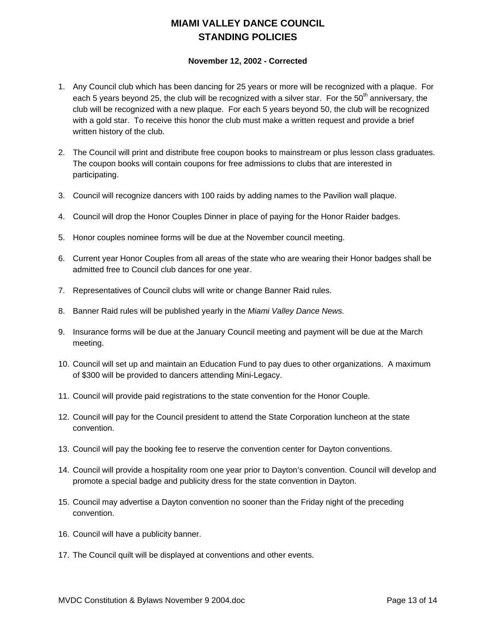# **MIAMI VALLEY DANCE COUNCIL STANDING POLICIES**

## **November 12, 2002 - Corrected**

- 1. Any Council club which has been dancing for 25 years or more will be recognized with a plaque. For each 5 years beyond 25, the club will be recognized with a silver star. For the 50<sup>th</sup> anniversary, the club will be recognized with a new plaque. For each 5 years beyond 50, the club will be recognized with a gold star. To receive this honor the club must make a written request and provide a brief written history of the club.
- 2. The Council will print and distribute free coupon books to mainstream or plus lesson class graduates. The coupon books will contain coupons for free admissions to clubs that are interested in participating.
- 3. Council will recognize dancers with 100 raids by adding names to the Pavilion wall plaque.
- 4. Council will drop the Honor Couples Dinner in place of paying for the Honor Raider badges.
- 5. Honor couples nominee forms will be due at the November council meeting.
- 6. Current year Honor Couples from all areas of the state who are wearing their Honor badges shall be admitted free to Council club dances for one year.
- 7. Representatives of Council clubs will write or change Banner Raid rules.
- 8. Banner Raid rules will be published yearly in the *Miami Valley Dance News.*
- 9. Insurance forms will be due at the January Council meeting and payment will be due at the March meeting.
- 10. Council will set up and maintain an Education Fund to pay dues to other organizations. A maximum of \$300 will be provided to dancers attending Mini-Legacy.
- 11. Council will provide paid registrations to the state convention for the Honor Couple.
- 12. Council will pay for the Council president to attend the State Corporation luncheon at the state convention.
- 13. Council will pay the booking fee to reserve the convention center for Dayton conventions.
- 14. Council will provide a hospitality room one year prior to Dayton's convention. Council will develop and promote a special badge and publicity dress for the state convention in Dayton.
- 15. Council may advertise a Dayton convention no sooner than the Friday night of the preceding convention.
- 16. Council will have a publicity banner.
- 17. The Council quilt will be displayed at conventions and other events.